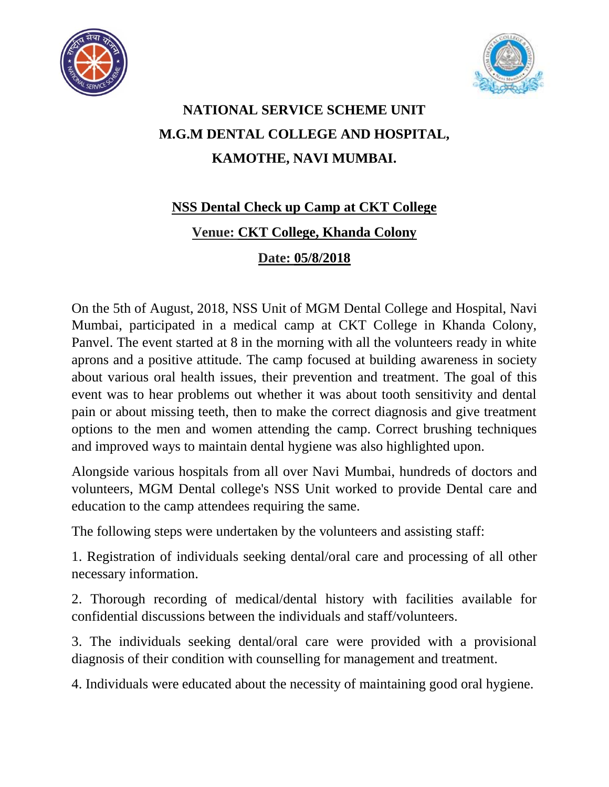



## **NATIONAL SERVICE SCHEME UNIT M.G.M DENTAL COLLEGE AND HOSPITAL, KAMOTHE, NAVI MUMBAI.**

## **NSS Dental Check up Camp at CKT College**

## **Venue: CKT College, Khanda Colony**

## **Date: 05/8/2018**

On the 5th of August, 2018, NSS Unit of MGM Dental College and Hospital, Navi Mumbai, participated in a medical camp at CKT College in Khanda Colony, Panvel. The event started at 8 in the morning with all the volunteers ready in white aprons and a positive attitude. The camp focused at building awareness in society about various oral health issues, their prevention and treatment. The goal of this event was to hear problems out whether it was about tooth sensitivity and dental pain or about missing teeth, then to make the correct diagnosis and give treatment options to the men and women attending the camp. Correct brushing techniques and improved ways to maintain dental hygiene was also highlighted upon.

Alongside various hospitals from all over Navi Mumbai, hundreds of doctors and volunteers, MGM Dental college's NSS Unit worked to provide Dental care and education to the camp attendees requiring the same.

The following steps were undertaken by the volunteers and assisting staff:

1. Registration of individuals seeking dental/oral care and processing of all other necessary information.

2. Thorough recording of medical/dental history with facilities available for confidential discussions between the individuals and staff/volunteers.

3. The individuals seeking dental/oral care were provided with a provisional diagnosis of their condition with counselling for management and treatment.

4. Individuals were educated about the necessity of maintaining good oral hygiene.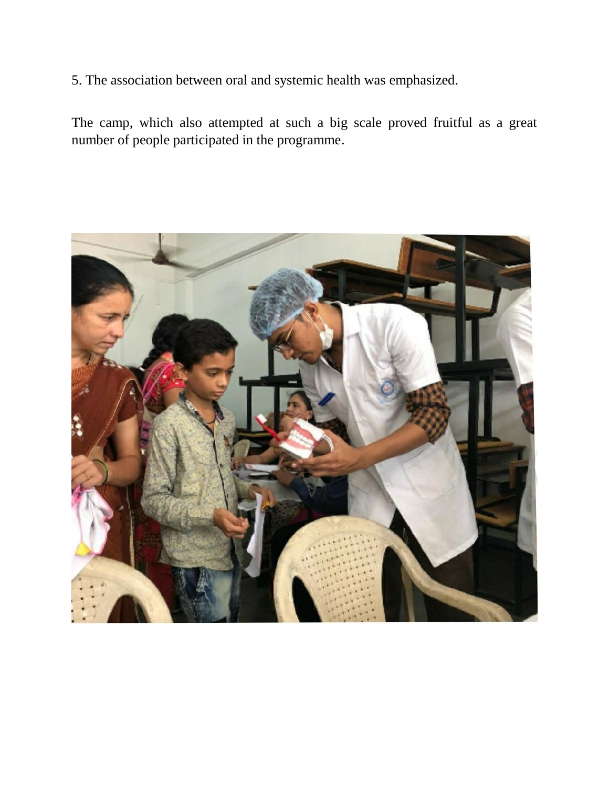5. The association between oral and systemic health was emphasized.

The camp, which also attempted at such a big scale proved fruitful as a great number of people participated in the programme.

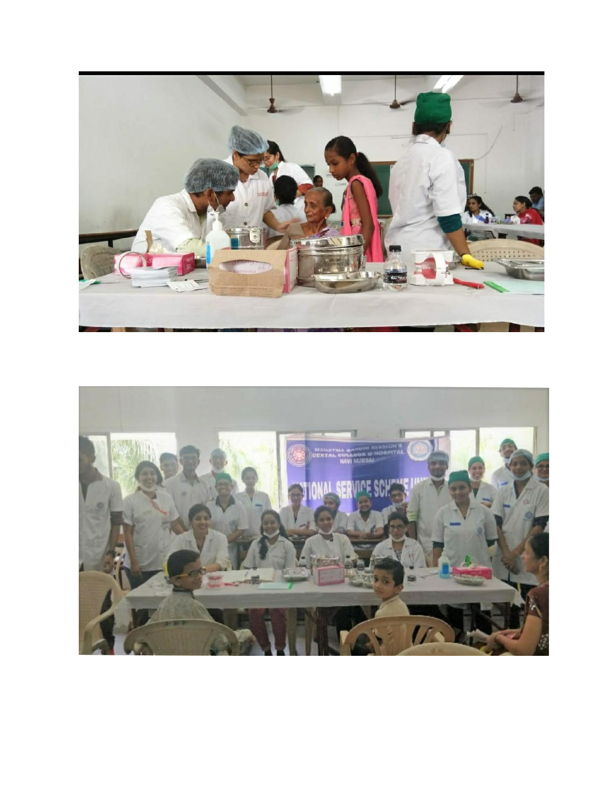

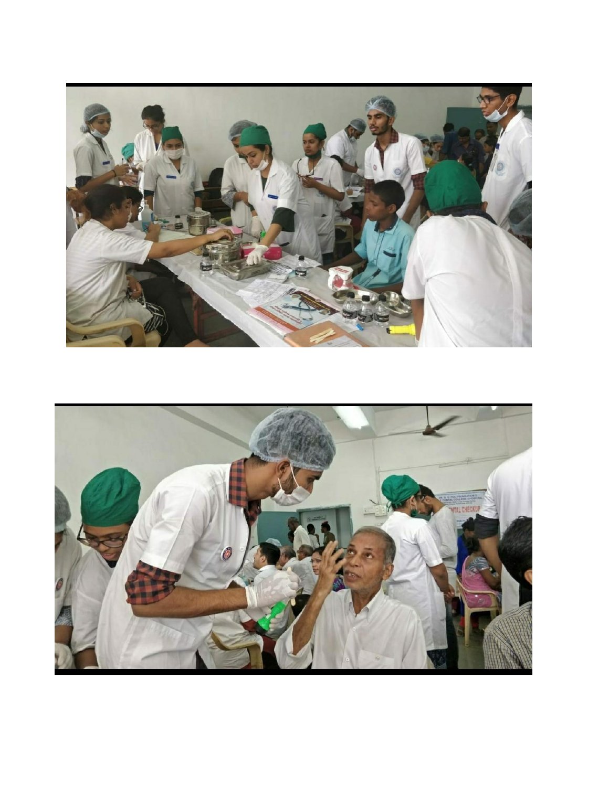